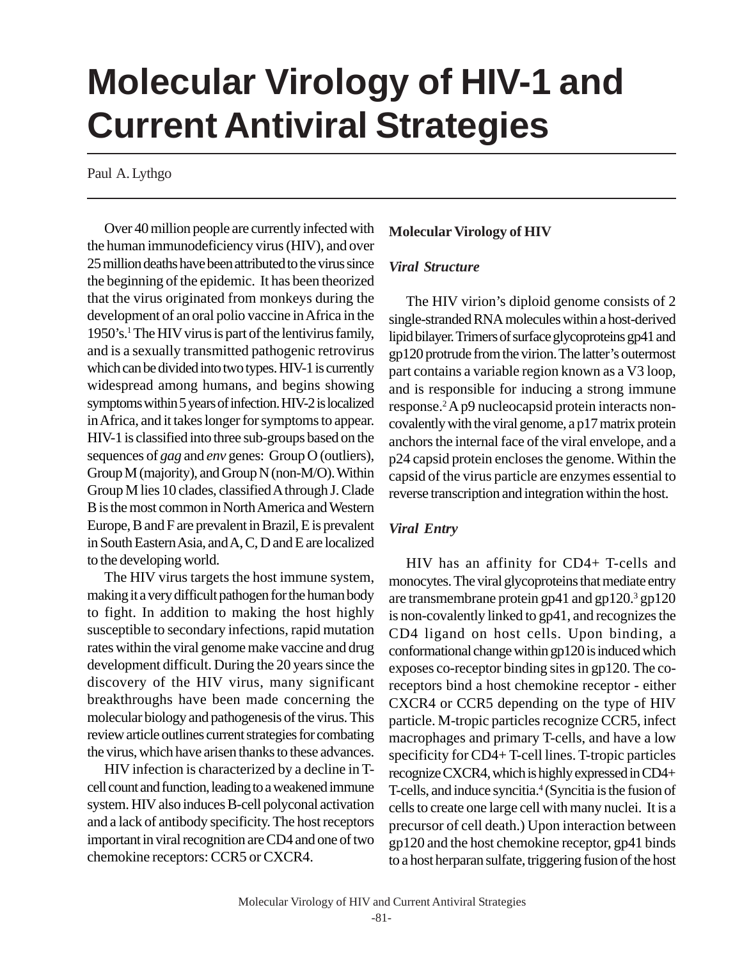# **Molecular Virology of HIV-1 and Current Antiviral Strategies**

Paul A. Lythgo

Over 40 million people are currently infected with the human immunodeficiency virus (HIV), and over 25 million deaths have been attributed to the virus since the beginning of the epidemic. It has been theorized that the virus originated from monkeys during the development of an oral polio vaccine in Africa in the 1950's.1 The HIV virus is part of the lentivirus family, and is a sexually transmitted pathogenic retrovirus which can be divided into two types. HIV-1 is currently widespread among humans, and begins showing symptoms within 5 years of infection. HIV-2 is localized in Africa, and it takes longer for symptoms to appear. HIV-1 is classified into three sub-groups based on the sequences of *gag* and *env* genes: Group O (outliers), Group M (majority), and Group N (non-M/O). Within Group M lies 10 clades, classified A through J. Clade B is the most common in North America and Western Europe, B and F are prevalent in Brazil, E is prevalent in South Eastern Asia, and A, C, D and E are localized to the developing world.

The HIV virus targets the host immune system, making it a very difficult pathogen for the human body to fight. In addition to making the host highly susceptible to secondary infections, rapid mutation rates within the viral genome make vaccine and drug development difficult. During the 20 years since the discovery of the HIV virus, many significant breakthroughs have been made concerning the molecular biology and pathogenesis of the virus. This review article outlines current strategies for combating the virus, which have arisen thanks to these advances.

HIV infection is characterized by a decline in Tcell count and function, leading to a weakened immune system. HIV also induces B-cell polyconal activation and a lack of antibody specificity. The host receptors important in viral recognition are CD4 and one of two chemokine receptors: CCR5 or CXCR4.

## **Molecular Virology of HIV**

## *Viral Structure*

The HIV virion's diploid genome consists of 2 single-stranded RNA molecules within a host-derived lipid bilayer. Trimers of surface glycoproteins gp41 and gp120 protrude from the virion. The latter's outermost part contains a variable region known as a V3 loop, and is responsible for inducing a strong immune response.2 A p9 nucleocapsid protein interacts noncovalently with the viral genome, a p17 matrix protein anchors the internal face of the viral envelope, and a p24 capsid protein encloses the genome. Within the capsid of the virus particle are enzymes essential to reverse transcription and integration within the host.

## *Viral Entry*

HIV has an affinity for CD4+ T-cells and monocytes. The viral glycoproteins that mediate entry are transmembrane protein gp41 and gp120. $3$  gp120 is non-covalently linked to gp41, and recognizes the CD4 ligand on host cells. Upon binding, a conformational change within gp120 is induced which exposes co-receptor binding sites in gp120. The coreceptors bind a host chemokine receptor - either CXCR4 or CCR5 depending on the type of HIV particle. M-tropic particles recognize CCR5, infect macrophages and primary T-cells, and have a low specificity for CD4+ T-cell lines. T-tropic particles recognize CXCR4, which is highly expressed in CD4+ T-cells, and induce syncitia.<sup>4</sup> (Syncitia is the fusion of cells to create one large cell with many nuclei. It is a precursor of cell death.) Upon interaction between gp120 and the host chemokine receptor, gp41 binds to a host herparan sulfate, triggering fusion of the host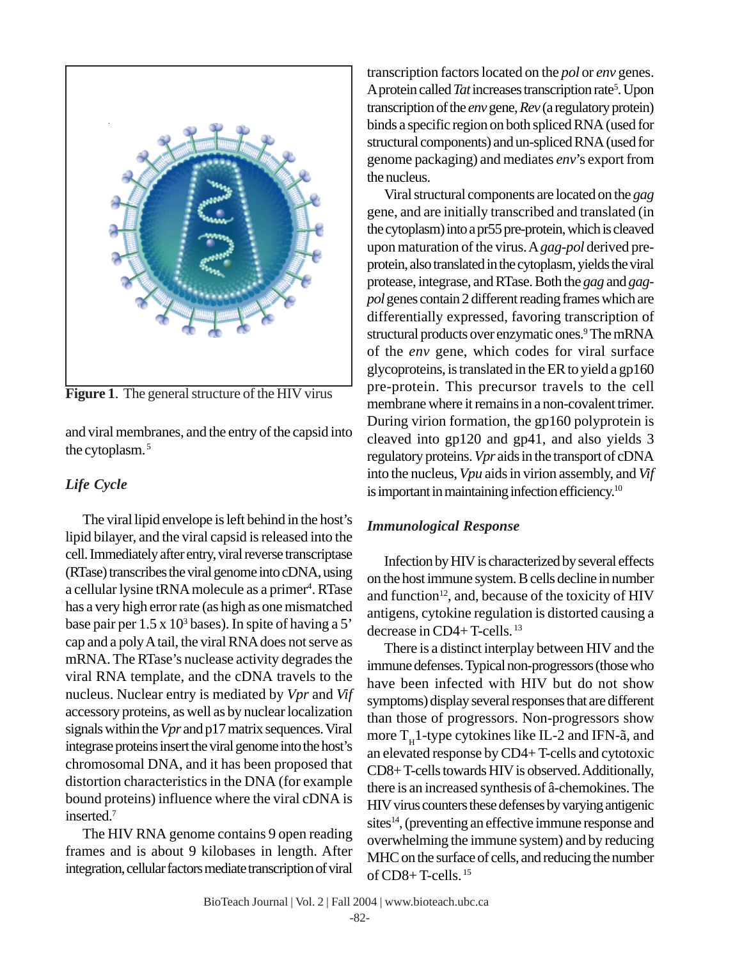

**Figure 1**. The general structure of the HIV virus

and viral membranes, and the entry of the capsid into the cytoplasm. 5

# *Life Cycle*

The viral lipid envelope is left behind in the host's lipid bilayer, and the viral capsid is released into the cell. Immediately after entry, viral reverse transcriptase (RTase) transcribes the viral genome into cDNA, using a cellular lysine tRNA molecule as a primer<sup>4</sup>. RTase has a very high error rate (as high as one mismatched base pair per  $1.5 \times 10^3$  bases). In spite of having a 5' cap and a poly A tail, the viral RNA does not serve as mRNA. The RTase's nuclease activity degrades the viral RNA template, and the cDNA travels to the nucleus. Nuclear entry is mediated by *Vpr* and *Vif* accessory proteins, as well as by nuclear localization signals within the *Vpr* and p17 matrix sequences. Viral integrase proteins insert the viral genome into the host's chromosomal DNA, and it has been proposed that distortion characteristics in the DNA (for example bound proteins) influence where the viral cDNA is inserted.7

The HIV RNA genome contains 9 open reading frames and is about 9 kilobases in length. After integration, cellular factors mediate transcription of viral

transcription factors located on the *pol* or *env* genes. A protein called *Tat* increases transcription rate<sup>5</sup>. Upon transcription of the *env* gene, *Rev* (a regulatory protein) binds a specific region on both spliced RNA (used for structural components) and un-spliced RNA (used for genome packaging) and mediates *env*'s export from the nucleus.

Viral structural components are located on the *gag* gene, and are initially transcribed and translated (in the cytoplasm) into a pr55 pre-protein, which is cleaved upon maturation of the virus. A *gag*-*pol* derived preprotein, also translated in the cytoplasm, yields the viral protease, integrase, and RTase. Both the *gag* and *gagpol* genes contain 2 different reading frames which are differentially expressed, favoring transcription of structural products over enzymatic ones.<sup>9</sup> The mRNA of the *env* gene, which codes for viral surface glycoproteins, is translated in the ER to yield a gp160 pre-protein. This precursor travels to the cell membrane where it remains in a non-covalent trimer. During virion formation, the gp160 polyprotein is cleaved into gp120 and gp41, and also yields 3 regulatory proteins. *Vpr* aids in the transport of cDNA into the nucleus, *Vpu* aids in virion assembly, and *Vif* is important in maintaining infection efficiency.<sup>10</sup>

## *Immunological Response*

Infection by HIV is characterized by several effects on the host immune system. B cells decline in number and function $12$ , and, because of the toxicity of HIV antigens, cytokine regulation is distorted causing a decrease in CD4+ T-cells. 13

There is a distinct interplay between HIV and the immune defenses. Typical non-progressors (those who have been infected with HIV but do not show symptoms) display several responses that are different than those of progressors. Non-progressors show more  $T_H$ 1-type cytokines like IL-2 and IFN- $\tilde{a}$ , and an elevated response by CD4+ T-cells and cytotoxic CD8+ T-cells towards HIV is observed. Additionally, there is an increased synthesis of â-chemokines. The HIV virus counters these defenses by varying antigenic sites $14$ , (preventing an effective immune response and overwhelming the immune system) and by reducing MHC on the surface of cells, and reducing the number of CD8+ T-cells. 15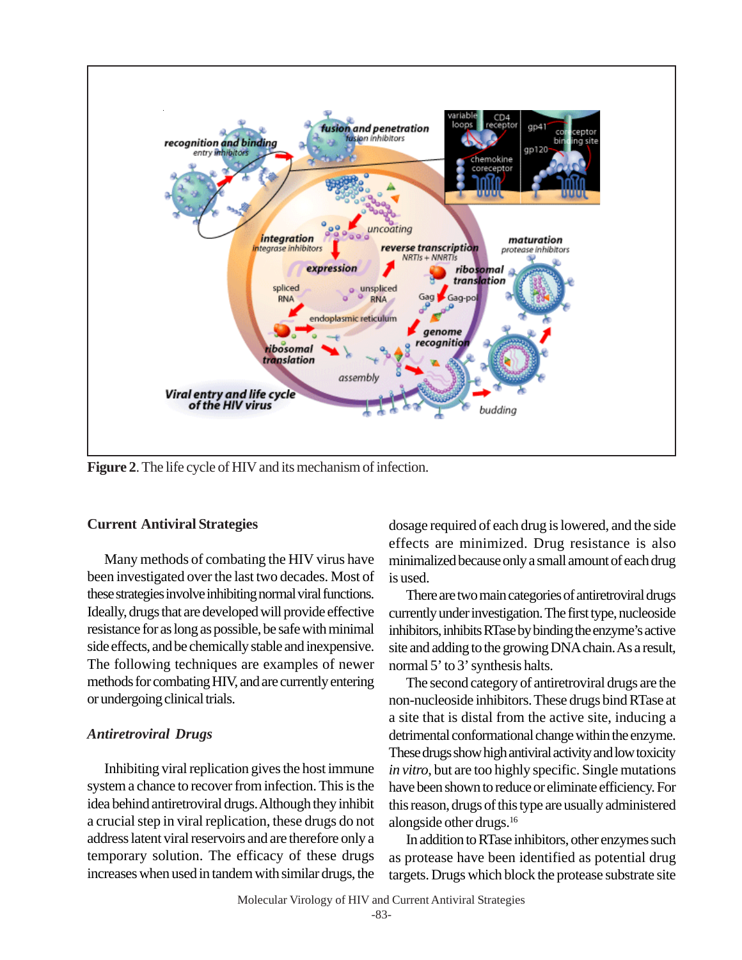

**Figure 2**. The life cycle of HIV and its mechanism of infection.

# **Current Antiviral Strategies**

Many methods of combating the HIV virus have been investigated over the last two decades. Most of these strategies involve inhibiting normal viral functions. Ideally, drugs that are developed will provide effective resistance for as long as possible, be safe with minimal side effects, and be chemically stable and inexpensive. The following techniques are examples of newer methods for combating HIV, and are currently entering or undergoing clinical trials.

# *Antiretroviral Drugs*

Inhibiting viral replication gives the host immune system a chance to recover from infection. This is the idea behind antiretroviral drugs. Although they inhibit a crucial step in viral replication, these drugs do not address latent viral reservoirs and are therefore only a temporary solution. The efficacy of these drugs increases when used in tandem with similar drugs, the

dosage required of each drug is lowered, and the side effects are minimized. Drug resistance is also minimalized because only a small amount of each drug is used.

There are two main categories of antiretroviral drugs currently under investigation. The first type, nucleoside inhibitors, inhibits RTase by binding the enzyme's active site and adding to the growing DNA chain. As a result, normal 5' to 3' synthesis halts.

The second category of antiretroviral drugs are the non-nucleoside inhibitors. These drugs bind RTase at a site that is distal from the active site, inducing a detrimental conformational change within the enzyme. These drugs show high antiviral activity and low toxicity *in vitro*, but are too highly specific. Single mutations have been shown to reduce or eliminate efficiency. For this reason, drugs of this type are usually administered alongside other drugs.16

In addition to RTase inhibitors, other enzymes such as protease have been identified as potential drug targets. Drugs which block the protease substrate site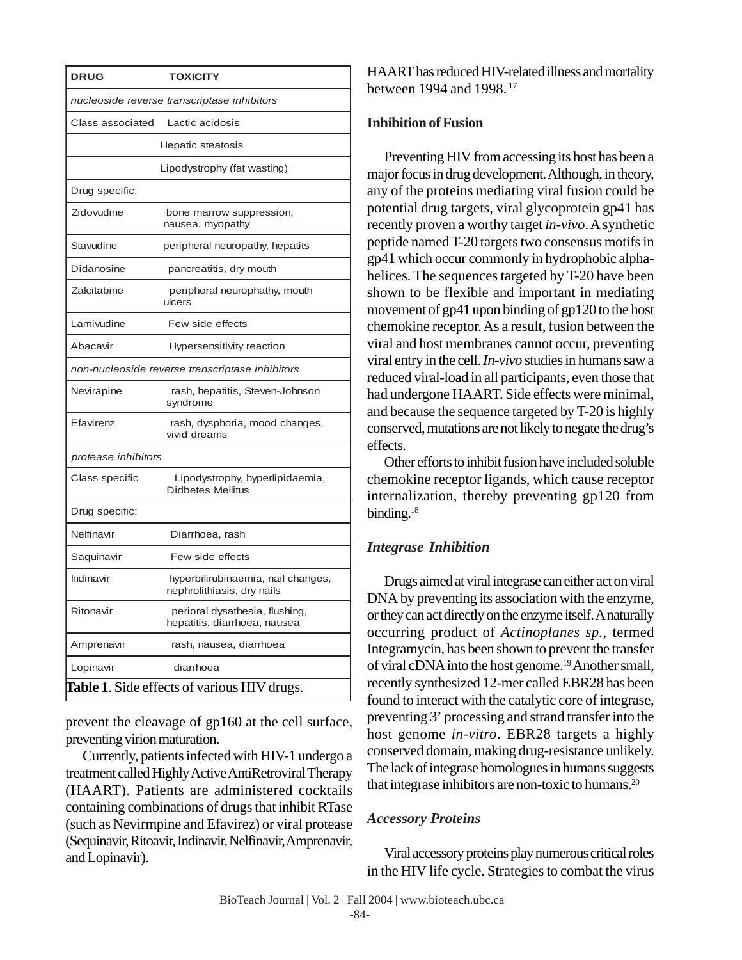| <b>DRUG</b>                                     | <b>TOXICITY</b>                                                  |
|-------------------------------------------------|------------------------------------------------------------------|
| nucleoside reverse transcriptase inhibitors     |                                                                  |
| Class associated                                | Lactic acidosis                                                  |
|                                                 | Hepatic steatosis                                                |
|                                                 | Lipodystrophy (fat wasting)                                      |
| Drug specific:                                  |                                                                  |
| Zidovudine                                      | bone marrow suppression,<br>nausea, myopathy                     |
| Stavudine                                       | peripheral neuropathy, hepatits                                  |
| Didanosine                                      | pancreatitis, dry mouth                                          |
| Zalcitabine                                     | peripheral neurophathy, mouth<br>ulcers                          |
| Lamivudine                                      | Few side effects                                                 |
| Abacavir                                        | Hypersensitivity reaction                                        |
| non-nucleoside reverse transcriptase inhibitors |                                                                  |
| Nevirapine                                      | rash, hepatitis, Steven-Johnson<br>syndrome                      |
| Efavirenz                                       | rash, dysphoria, mood changes,<br>vivid dreams                   |
| protease inhibitors                             |                                                                  |
| Class specific                                  | Lipodystrophy, hyperlipidaemia,<br><b>Didbetes Mellitus</b>      |
| Drug specific:                                  |                                                                  |
| Nelfinavir                                      | Diarrhoea, rash                                                  |
| Saquinavir                                      | Few side effects                                                 |
| Indinavir                                       | hyperbilirubinaemia, nail changes,<br>nephrolithiasis, dry nails |
| Ritonavir                                       | perioral dysathesia, flushing,<br>hepatitis, diarrhoea, nausea   |
| Amprenavir                                      | rash, nausea, diarrhoea                                          |
| Lopinavir                                       | diarrhoea                                                        |
| Table 1. Side effects of various HIV drugs.     |                                                                  |

prevent the cleavage of gp160 at the cell surface, preventing virion maturation.

Currently, patients infected with HIV-1 undergo a treatment called Highly Active AntiRetroviral Therapy (HAART). Patients are administered cocktails containing combinations of drugs that inhibit RTase (such as Nevirmpine and Efavirez) or viral protease (Sequinavir, Ritoavir, Indinavir, Nelfinavir, Amprenavir, and Lopinavir).

HAART has reduced HIV-related illness and mortality between 1994 and 1998. 17

# **Inhibition of Fusion**

Preventing HIV from accessing its host has been a major focus in drug development. Although, in theory, any of the proteins mediating viral fusion could be potential drug targets, viral glycoprotein gp41 has recently proven a worthy target *in-vivo*. A synthetic peptide named T-20 targets two consensus motifs in gp41 which occur commonly in hydrophobic alphahelices. The sequences targeted by T-20 have been shown to be flexible and important in mediating movement of gp41 upon binding of gp120 to the host chemokine receptor. As a result, fusion between the viral and host membranes cannot occur, preventing viral entry in the cell. *In-vivo* studies in humans saw a reduced viral-load in all participants, even those that had undergone HAART. Side effects were minimal, and because the sequence targeted by T-20 is highly conserved, mutations are not likely to negate the drug's effects.

Other efforts to inhibit fusion have included soluble chemokine receptor ligands, which cause receptor internalization, thereby preventing gp120 from binding.<sup>18</sup>

# *Integrase Inhibition*

Drugs aimed at viral integrase can either act on viral DNA by preventing its association with the enzyme, or they can act directly on the enzyme itself. A naturally occurring product of *Actinoplanes sp.,* termed Integramycin, has been shown to prevent the transfer of viral cDNA into the host genome.19 Another small, recently synthesized 12-mer called EBR28 has been found to interact with the catalytic core of integrase, preventing 3' processing and strand transfer into the host genome *in-vitro*. EBR28 targets a highly conserved domain, making drug-resistance unlikely. The lack of integrase homologues in humans suggests that integrase inhibitors are non-toxic to humans.<sup>20</sup>

# *Accessory Proteins*

Viral accessory proteins play numerous critical roles in the HIV life cycle. Strategies to combat the virus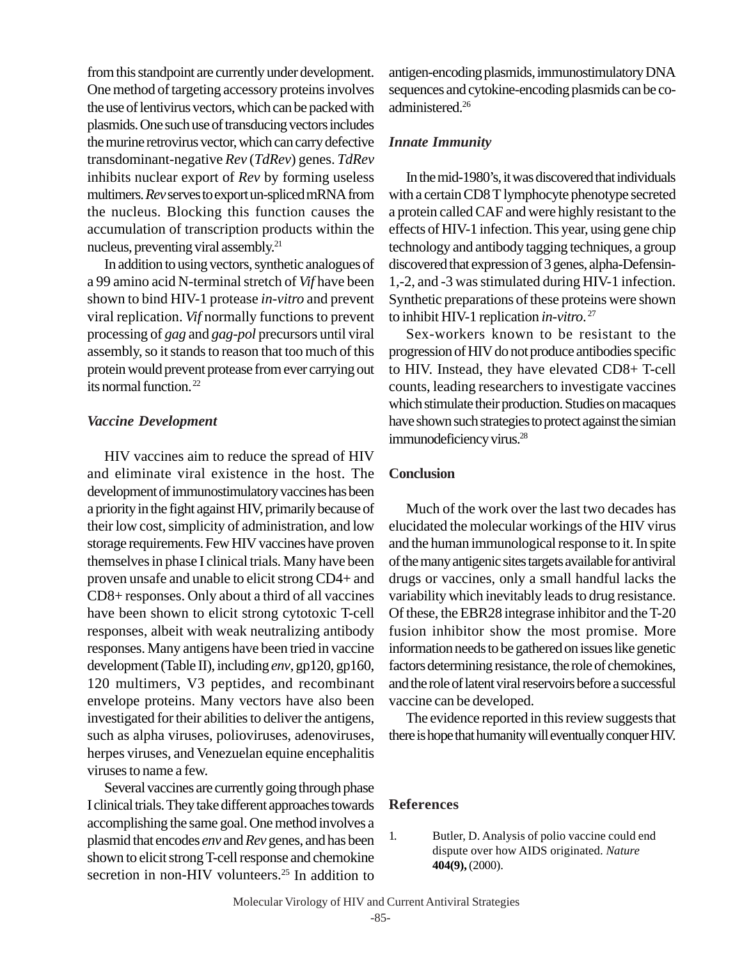from this standpoint are currently under development. One method of targeting accessory proteins involves the use of lentivirus vectors, which can be packed with plasmids. One such use of transducing vectors includes the murine retrovirus vector, which can carry defective transdominant-negative *Rev* (*TdRev*) genes. *TdRev* inhibits nuclear export of *Rev* by forming useless multimers. *Rev* serves to export un-spliced mRNA from the nucleus. Blocking this function causes the accumulation of transcription products within the nucleus, preventing viral assembly.21

In addition to using vectors, synthetic analogues of a 99 amino acid N-terminal stretch of *Vif* have been shown to bind HIV-1 protease *in-vitro* and prevent viral replication. *Vif* normally functions to prevent processing of *gag* and *gag*-*pol* precursors until viral assembly, so it stands to reason that too much of this protein would prevent protease from ever carrying out its normal function. 22

### *Vaccine Development*

HIV vaccines aim to reduce the spread of HIV and eliminate viral existence in the host. The development of immunostimulatory vaccines has been a priority in the fight against HIV, primarily because of their low cost, simplicity of administration, and low storage requirements. Few HIV vaccines have proven themselves in phase I clinical trials. Many have been proven unsafe and unable to elicit strong CD4+ and CD8+ responses. Only about a third of all vaccines have been shown to elicit strong cytotoxic T-cell responses, albeit with weak neutralizing antibody responses. Many antigens have been tried in vaccine development (Table II), including *env*, gp120, gp160, 120 multimers, V3 peptides, and recombinant envelope proteins. Many vectors have also been investigated for their abilities to deliver the antigens, such as alpha viruses, polioviruses, adenoviruses, herpes viruses, and Venezuelan equine encephalitis viruses to name a few.

Several vaccines are currently going through phase I clinical trials. They take different approaches towards accomplishing the same goal. One method involves a plasmid that encodes *env* and *Rev* genes, and has been shown to elicit strong T-cell response and chemokine secretion in non-HIV volunteers.<sup>25</sup> In addition to

antigen-encoding plasmids, immunostimulatory DNA sequences and cytokine-encoding plasmids can be coadministered.26

## *Innate Immunity*

In the mid-1980's, it was discovered that individuals with a certain CD8 T lymphocyte phenotype secreted a protein called CAF and were highly resistant to the effects of HIV-1 infection. This year, using gene chip technology and antibody tagging techniques, a group discovered that expression of 3 genes, alpha-Defensin-1,-2, and -3 was stimulated during HIV-1 infection. Synthetic preparations of these proteins were shown to inhibit HIV-1 replication *in-vitro*. 27

Sex-workers known to be resistant to the progression of HIV do not produce antibodies specific to HIV. Instead, they have elevated CD8+ T-cell counts, leading researchers to investigate vaccines which stimulate their production. Studies on macaques have shown such strategies to protect against the simian immunodeficiency virus.<sup>28</sup>

### **Conclusion**

Much of the work over the last two decades has elucidated the molecular workings of the HIV virus and the human immunological response to it. In spite of the many antigenic sites targets available for antiviral drugs or vaccines, only a small handful lacks the variability which inevitably leads to drug resistance. Of these, the EBR28 integrase inhibitor and the T-20 fusion inhibitor show the most promise. More information needs to be gathered on issues like genetic factors determining resistance, the role of chemokines, and the role of latent viral reservoirs before a successful vaccine can be developed.

The evidence reported in this review suggests that there is hope that humanity will eventually conquer HIV.

#### **References**

1. Butler, D. Analysis of polio vaccine could end dispute over how AIDS originated. *Nature* **404(9),** (2000).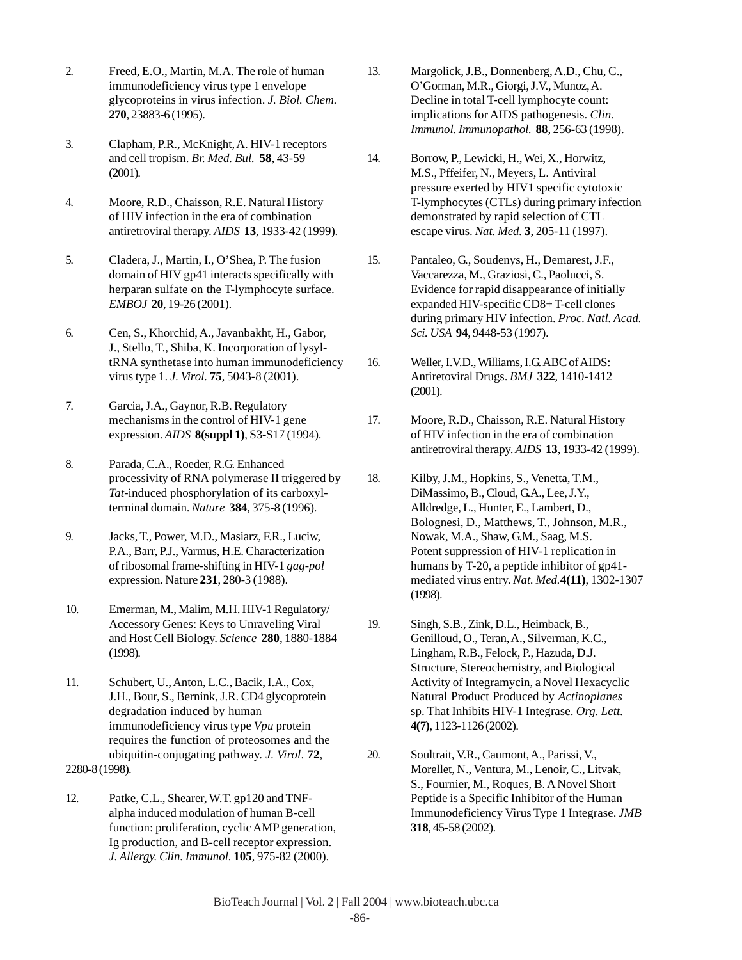- 2. Freed, E.O., Martin, M.A. The role of human immunodeficiency virus type 1 envelope glycoproteins in virus infection. *J. Biol. Chem.* **270**, 23883-6 (1995).
- 3. Clapham, P.R., McKnight, A. HIV-1 receptors and cell tropism. *Br. Med. Bul.* **58**, 43-59 (2001).
- 4. Moore, R.D., Chaisson, R.E. Natural History of HIV infection in the era of combination antiretroviral therapy. *AIDS* **13**, 1933-42 (1999).
- 5. Cladera, J., Martin, I., O'Shea, P. The fusion domain of HIV gp41 interacts specifically with herparan sulfate on the T-lymphocyte surface. *EMBOJ* **20**, 19-26 (2001).
- 6. Cen, S., Khorchid, A., Javanbakht, H., Gabor, J., Stello, T., Shiba, K. Incorporation of lysyltRNA synthetase into human immunodeficiency virus type 1. *J. Virol.* **75**, 5043-8 (2001).
- 7. Garcia, J.A., Gaynor, R.B. Regulatory mechanisms in the control of HIV-1 gene expression. *AIDS* **8(suppl 1)**, S3-S17 (1994).
- 8. Parada, C.A., Roeder, R.G. Enhanced processivity of RNA polymerase II triggered by *Tat*-induced phosphorylation of its carboxylterminal domain. *Nature* **384**, 375-8 (1996).
- 9. Jacks, T., Power, M.D., Masiarz, F.R., Luciw, P.A., Barr, P.J., Varmus, H.E. Characterization of ribosomal frame-shifting in HIV-1 *gag*-*pol* expression. Nature **231**, 280-3 (1988).
- 10. Emerman, M., Malim, M.H. HIV-1 Regulatory/ Accessory Genes: Keys to Unraveling Viral and Host Cell Biology. *Science* **280**, 1880-1884 (1998).
- 11. Schubert, U., Anton, L.C., Bacik, I.A., Cox, J.H., Bour, S., Bernink, J.R. CD4 glycoprotein degradation induced by human immunodeficiency virus type *Vpu* protein requires the function of proteosomes and the ubiquitin-conjugating pathway. *J. Virol*. **72**, 2280-8 (1998).
- 12. Patke, C.L., Shearer, W.T. gp120 and TNFalpha induced modulation of human B-cell function: proliferation, cyclic AMP generation, Ig production, and B-cell receptor expression. *J. Allergy. Clin. Immunol.* **105**, 975-82 (2000).
- 13. Margolick, J.B., Donnenberg, A.D., Chu, C., O'Gorman, M.R., Giorgi, J.V., Munoz, A. Decline in total T-cell lymphocyte count: implications for AIDS pathogenesis. *Clin. Immunol. Immunopathol.* **88**, 256-63 (1998).
- 14. Borrow, P., Lewicki, H., Wei, X., Horwitz, M.S., Pffeifer, N., Meyers, L. Antiviral pressure exerted by HIV1 specific cytotoxic T-lymphocytes (CTLs) during primary infection demonstrated by rapid selection of CTL escape virus. *Nat. Med.* **3**, 205-11 (1997).
- 15. Pantaleo, G., Soudenys, H., Demarest, J.F., Vaccarezza, M., Graziosi, C., Paolucci, S. Evidence for rapid disappearance of initially expanded HIV-specific CD8+ T-cell clones during primary HIV infection. *Proc. Natl. Acad. Sci. USA* **94**, 9448-53 (1997).
- 16. Weller, I.V.D., Williams, I.G. ABC of AIDS: Antiretoviral Drugs. *BMJ* **322**, 1410-1412 (2001).
- 17. Moore, R.D., Chaisson, R.E. Natural History of HIV infection in the era of combination antiretroviral therapy. *AIDS* **13**, 1933-42 (1999).
- 18. Kilby, J.M., Hopkins, S., Venetta, T.M., DiMassimo, B., Cloud, G.A., Lee, J.Y., Alldredge, L., Hunter, E., Lambert, D., Bolognesi, D., Matthews, T., Johnson, M.R., Nowak, M.A., Shaw, G.M., Saag, M.S. Potent suppression of HIV-1 replication in humans by T-20, a peptide inhibitor of gp41 mediated virus entry. *Nat. Med.***4(11)**, 1302-1307 (1998).
- 19. Singh, S.B., Zink, D.L., Heimback, B., Genilloud, O., Teran, A., Silverman, K.C., Lingham, R.B., Felock, P., Hazuda, D.J. Structure, Stereochemistry, and Biological Activity of Integramycin, a Novel Hexacyclic Natural Product Produced by *Actinoplanes* sp. That Inhibits HIV-1 Integrase. *Org. Lett.* **4(7)**, 1123-1126 (2002).
- 20. Soultrait, V.R., Caumont, A., Parissi, V., Morellet, N., Ventura, M., Lenoir, C., Litvak, S., Fournier, M., Roques, B. A Novel Short Peptide is a Specific Inhibitor of the Human Immunodeficiency Virus Type 1 Integrase. *JMB* **318**, 45-58 (2002).